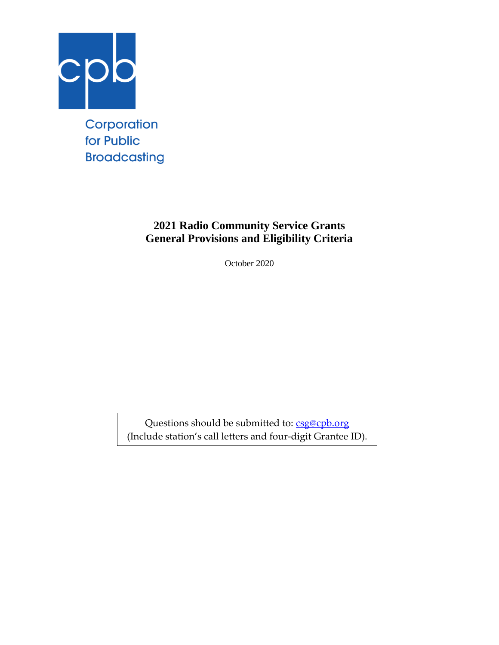

for Public **Broadcasting** 

## **2021 Radio Community Service Grants General Provisions and Eligibility Criteria**

October 2020

Questions should be submitted to: [csg@cpb.org](mailto:csg@cpb.org) (Include station's call letters and four-digit Grantee ID).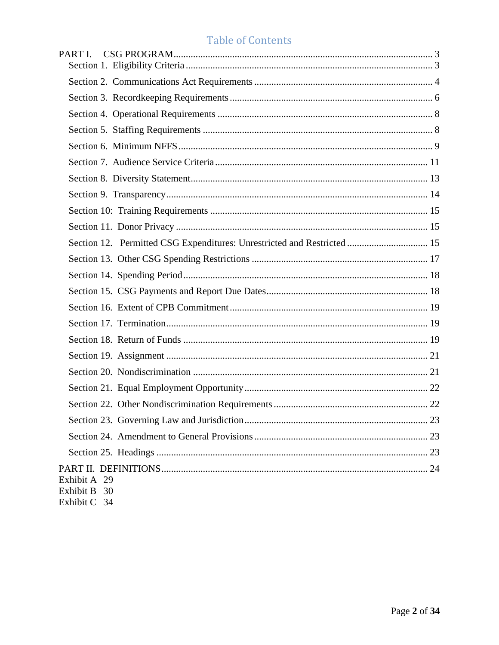# Table of Contents

| PART I.                                                                 |
|-------------------------------------------------------------------------|
|                                                                         |
|                                                                         |
|                                                                         |
|                                                                         |
|                                                                         |
|                                                                         |
|                                                                         |
|                                                                         |
|                                                                         |
|                                                                         |
| Section 12. Permitted CSG Expenditures: Unrestricted and Restricted  15 |
|                                                                         |
|                                                                         |
|                                                                         |
|                                                                         |
|                                                                         |
|                                                                         |
|                                                                         |
|                                                                         |
|                                                                         |
|                                                                         |
|                                                                         |
|                                                                         |
|                                                                         |
| Exhibit A 29<br>Exhibit B 30<br>Exhibit C 34                            |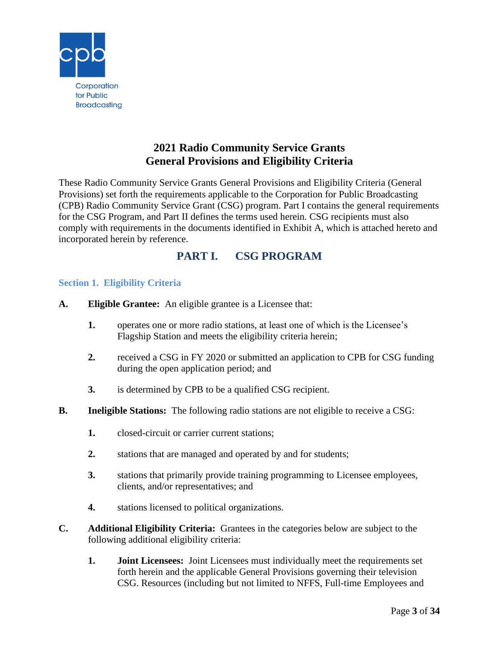

## **2021 Radio Community Service Grants General Provisions and Eligibility Criteria**

These Radio Community Service Grants General Provisions and Eligibility Criteria (General Provisions) set forth the requirements applicable to the Corporation for Public Broadcasting (CPB) Radio Community Service Grant (CSG) program. Part I contains the general requirements for the CSG Program, and Part II defines the terms used herein. CSG recipients must also comply with requirements in the documents identified in Exhibit A, which is attached hereto and incorporated herein by reference.

## **PART I. CSG PROGRAM**

## <span id="page-2-1"></span><span id="page-2-0"></span>**Section 1. Eligibility Criteria**

- **A. Eligible Grantee:** An eligible grantee is a Licensee that:
	- **1.** operates one or more radio stations, at least one of which is the Licensee's Flagship Station and meets the eligibility criteria herein;
	- **2.** received a CSG in FY 2020 or submitted an application to CPB for CSG funding during the open application period; and
	- **3.** is determined by CPB to be a qualified CSG recipient.
- **B. Ineligible Stations:** The following radio stations are not eligible to receive a CSG:
	- **1.** closed-circuit or carrier current stations;
	- **2.** stations that are managed and operated by and for students;
	- **3.** stations that primarily provide training programming to Licensee employees, clients, and/or representatives; and
	- **4.** stations licensed to political organizations.
- **C. Additional Eligibility Criteria:** Grantees in the categories below are subject to the following additional eligibility criteria:
	- **1. Joint Licensees:** Joint Licensees must individually meet the requirements set forth herein and the applicable General Provisions governing their television CSG. Resources (including but not limited to NFFS, Full-time Employees and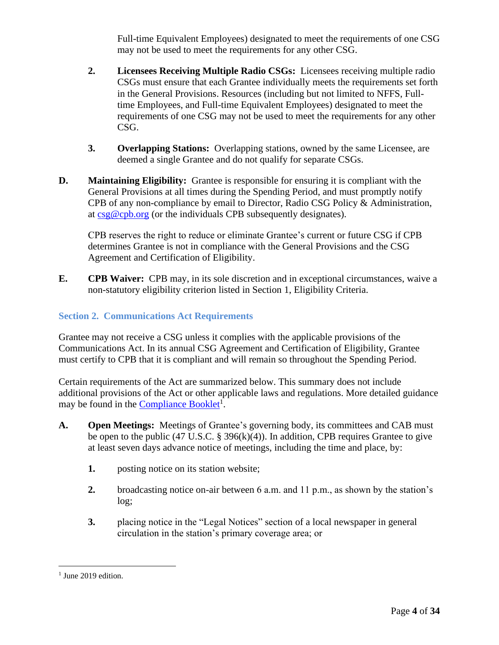Full-time Equivalent Employees) designated to meet the requirements of one CSG may not be used to meet the requirements for any other CSG.

- **2. Licensees Receiving Multiple Radio CSGs:** Licensees receiving multiple radio CSGs must ensure that each Grantee individually meets the requirements set forth in the General Provisions. Resources (including but not limited to NFFS, Fulltime Employees, and Full-time Equivalent Employees) designated to meet the requirements of one CSG may not be used to meet the requirements for any other CSG.
- **3. Overlapping Stations:** Overlapping stations, owned by the same Licensee, are deemed a single Grantee and do not qualify for separate CSGs.
- **D. Maintaining Eligibility:** Grantee is responsible for ensuring it is compliant with the General Provisions at all times during the Spending Period, and must promptly notify CPB of any non-compliance by email to Director, Radio CSG Policy & Administration, at  $csg@cpb.org$  (or the individuals CPB subsequently designates).

CPB reserves the right to reduce or eliminate Grantee's current or future CSG if CPB determines Grantee is not in compliance with the General Provisions and the CSG Agreement and Certification of Eligibility.

**E. CPB Waiver:** CPB may, in its sole discretion and in exceptional circumstances, waive a non-statutory eligibility criterion listed in Section 1, Eligibility Criteria.

## <span id="page-3-0"></span>**Section 2. Communications Act Requirements**

Grantee may not receive a CSG unless it complies with the applicable provisions of the Communications Act. In its annual CSG Agreement and Certification of Eligibility, Grantee must certify to CPB that it is compliant and will remain so throughout the Spending Period.

Certain requirements of the Act are summarized below. This summary does not include additional provisions of the Act or other applicable laws and regulations. More detailed guidance may be found in the **Compliance Booklet<sup>1</sup>**.

- **A. Open Meetings:** Meetings of Grantee's governing body, its committees and CAB must be open to the public (47 U.S.C. § 396(k)(4)). In addition, CPB requires Grantee to give at least seven days advance notice of meetings, including the time and place, by:
	- **1.** posting notice on its station website;
	- **2.** broadcasting notice on-air between 6 a.m. and 11 p.m., as shown by the station's log;
	- **3.** placing notice in the "Legal Notices" section of a local newspaper in general circulation in the station's primary coverage area; or

<sup>&</sup>lt;sup>1</sup> June 2019 edition.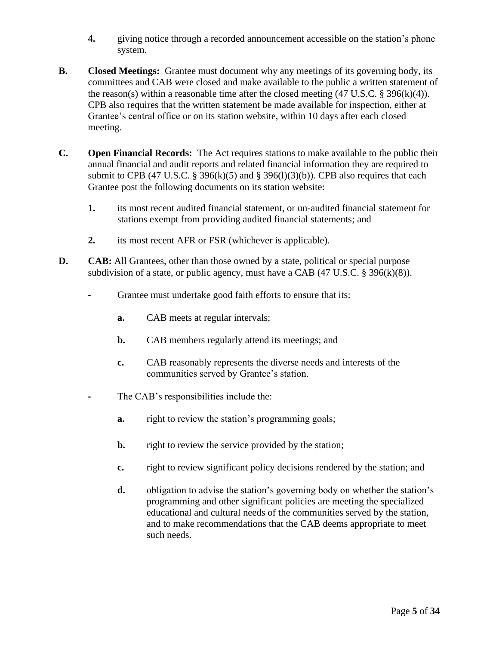- **4.** giving notice through a recorded announcement accessible on the station's phone system.
- **B. Closed Meetings:** Grantee must document why any meetings of its governing body, its committees and CAB were closed and make available to the public a written statement of the reason(s) within a reasonable time after the closed meeting  $(47 \text{ U.S.C.} \text{ } \text{\$ } 396(\text{k})(4))$ . CPB also requires that the written statement be made available for inspection, either at Grantee's central office or on its station website, within 10 days after each closed meeting.
- **C. Open Financial Records:** The Act requires stations to make available to the public their annual financial and audit reports and related financial information they are required to submit to CPB (47 U.S.C. § 396(k)(5) and § 396(l)(3)(b)). CPB also requires that each Grantee post the following documents on its station website:
	- **1.** its most recent audited financial statement, or un-audited financial statement for stations exempt from providing audited financial statements; and
	- **2.** its most recent AFR or FSR (whichever is applicable).
- **D. CAB:** All Grantees, other than those owned by a state, political or special purpose subdivision of a state, or public agency, must have a CAB  $(47 \text{ U.S.C.} \S 396(k)(8))$ .
	- **-** Grantee must undertake good faith efforts to ensure that its:
		- **a.** CAB meets at regular intervals;
		- **b.** CAB members regularly attend its meetings; and
		- **c.** CAB reasonably represents the diverse needs and interests of the communities served by Grantee's station.
	- **-** The CAB's responsibilities include the:
		- **a.** right to review the station's programming goals;
		- **b.** right to review the service provided by the station;
		- **c.** right to review significant policy decisions rendered by the station; and
		- **d.** obligation to advise the station's governing body on whether the station's programming and other significant policies are meeting the specialized educational and cultural needs of the communities served by the station, and to make recommendations that the CAB deems appropriate to meet such needs.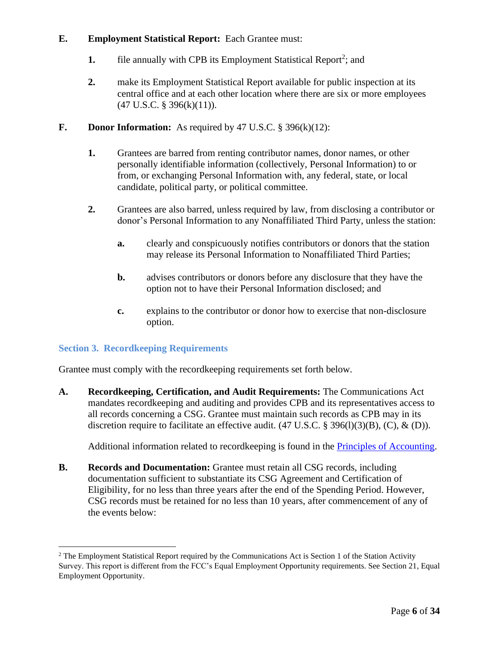#### **E. Employment Statistical Report:** Each Grantee must:

- **1.** file annually with CPB its Employment Statistical Report<sup>2</sup>; and
- **2.** make its Employment Statistical Report available for public inspection at its central office and at each other location where there are six or more employees  $(47 \text{ U.S.C. } § 396(k)(11)).$

### **F. Donor Information:** As required by 47 U.S.C. § 396(k)(12):

- **1.** Grantees are barred from renting contributor names, donor names, or other personally identifiable information (collectively, Personal Information) to or from, or exchanging Personal Information with, any federal, state, or local candidate, political party, or political committee.
- **2.** Grantees are also barred, unless required by law, from disclosing a contributor or donor's Personal Information to any Nonaffiliated Third Party, unless the station:
	- **a.** clearly and conspicuously notifies contributors or donors that the station may release its Personal Information to Nonaffiliated Third Parties;
	- **b.** advises contributors or donors before any disclosure that they have the option not to have their Personal Information disclosed; and
	- **c.** explains to the contributor or donor how to exercise that non-disclosure option.

## <span id="page-5-0"></span>**Section 3. Recordkeeping Requirements**

Grantee must comply with the recordkeeping requirements set forth below.

**A. Recordkeeping, Certification, and Audit Requirements:** The Communications Act mandates recordkeeping and auditing and provides CPB and its representatives access to all records concerning a CSG. Grantee must maintain such records as CPB may in its discretion require to facilitate an effective audit.  $(47 \text{ U.S.C.} \text{ } \$ \text{ } 396(1)(3)(B), (C), \text{ } \& \text{ } (D)).$ 

Additional information related to recordkeeping is found in the [Principles of Accounting.](http://www.cpb.org/stations/principles/principlesofaccounting050818.pdf)

**B. Records and Documentation:** Grantee must retain all CSG records, including documentation sufficient to substantiate its CSG Agreement and Certification of Eligibility, for no less than three years after the end of the Spending Period. However, CSG records must be retained for no less than 10 years, after commencement of any of the events below:

<sup>&</sup>lt;sup>2</sup> The Employment Statistical Report required by the Communications Act is Section 1 of the Station Activity Survey. This report is different from the FCC's Equal Employment Opportunity requirements. See Section 21, Equal Employment Opportunity.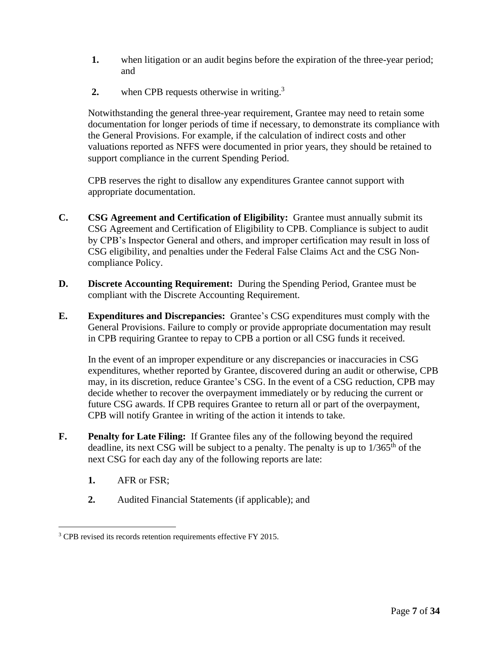- **1.** when litigation or an audit begins before the expiration of the three-year period; and
- 2. when CPB requests otherwise in writing.<sup>3</sup>

Notwithstanding the general three-year requirement, Grantee may need to retain some documentation for longer periods of time if necessary, to demonstrate its compliance with the General Provisions. For example, if the calculation of indirect costs and other valuations reported as NFFS were documented in prior years, they should be retained to support compliance in the current Spending Period.

CPB reserves the right to disallow any expenditures Grantee cannot support with appropriate documentation.

- **C. CSG Agreement and Certification of Eligibility:** Grantee must annually submit its CSG Agreement and Certification of Eligibility to CPB. Compliance is subject to audit by CPB's Inspector General and others, and improper certification may result in loss of CSG eligibility, and penalties under the Federal False Claims Act and the CSG Noncompliance Policy.
- **D. Discrete Accounting Requirement:** During the Spending Period, Grantee must be compliant with the Discrete Accounting Requirement.
- **E. Expenditures and Discrepancies:** Grantee's CSG expenditures must comply with the General Provisions. Failure to comply or provide appropriate documentation may result in CPB requiring Grantee to repay to CPB a portion or all CSG funds it received.

In the event of an improper expenditure or any discrepancies or inaccuracies in CSG expenditures, whether reported by Grantee, discovered during an audit or otherwise, CPB may, in its discretion, reduce Grantee's CSG. In the event of a CSG reduction, CPB may decide whether to recover the overpayment immediately or by reducing the current or future CSG awards. If CPB requires Grantee to return all or part of the overpayment, CPB will notify Grantee in writing of the action it intends to take.

- **F. Penalty for Late Filing:** If Grantee files any of the following beyond the required deadline, its next CSG will be subject to a penalty. The penalty is up to  $1/365<sup>th</sup>$  of the next CSG for each day any of the following reports are late:
	- **1.** AFR or FSR;
	- **2.** Audited Financial Statements (if applicable); and

<sup>3</sup> CPB revised its records retention requirements effective FY 2015.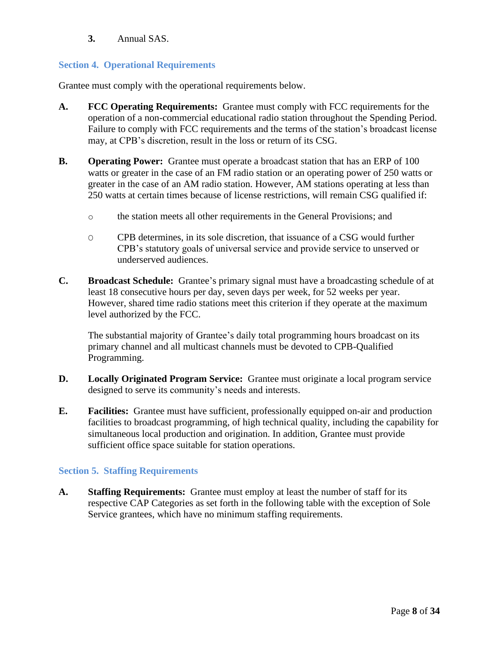**3.** Annual SAS.

## <span id="page-7-0"></span>**Section 4. Operational Requirements**

Grantee must comply with the operational requirements below.

- **A. FCC Operating Requirements:** Grantee must comply with FCC requirements for the operation of a non-commercial educational radio station throughout the Spending Period. Failure to comply with FCC requirements and the terms of the station's broadcast license may, at CPB's discretion, result in the loss or return of its CSG.
- **B. Operating Power:** Grantee must operate a broadcast station that has an ERP of 100 watts or greater in the case of an FM radio station or an operating power of 250 watts or greater in the case of an AM radio station. However, AM stations operating at less than 250 watts at certain times because of license restrictions, will remain CSG qualified if:
	- o the station meets all other requirements in the General Provisions; and
	- O CPB determines, in its sole discretion, that issuance of a CSG would further CPB's statutory goals of universal service and provide service to unserved or underserved audiences.
- **C. Broadcast Schedule:** Grantee's primary signal must have a broadcasting schedule of at least 18 consecutive hours per day, seven days per week, for 52 weeks per year. However, shared time radio stations meet this criterion if they operate at the maximum level authorized by the FCC.

The substantial majority of Grantee's daily total programming hours broadcast on its primary channel and all multicast channels must be devoted to CPB-Qualified Programming.

- **D. Locally Originated Program Service:** Grantee must originate a local program service designed to serve its community's needs and interests.
- **E. Facilities:** Grantee must have sufficient, professionally equipped on-air and production facilities to broadcast programming, of high technical quality, including the capability for simultaneous local production and origination. In addition, Grantee must provide sufficient office space suitable for station operations.

## <span id="page-7-1"></span>**Section 5. Staffing Requirements**

**A. Staffing Requirements:** Grantee must employ at least the number of staff for its respective CAP Categories as set forth in the following table with the exception of Sole Service grantees, which have no minimum staffing requirements.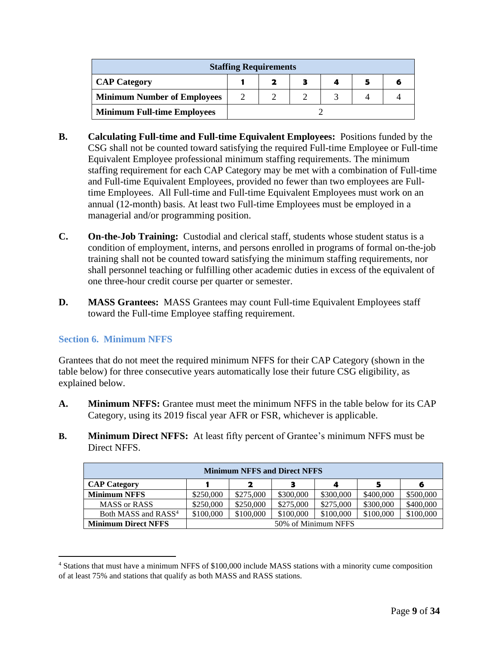| <b>Staffing Requirements</b>       |  |  |  |  |  |  |  |
|------------------------------------|--|--|--|--|--|--|--|
| <b>CAP Category</b>                |  |  |  |  |  |  |  |
| <b>Minimum Number of Employees</b> |  |  |  |  |  |  |  |
| <b>Minimum Full-time Employees</b> |  |  |  |  |  |  |  |

- **B. Calculating Full-time and Full-time Equivalent Employees:** Positions funded by the CSG shall not be counted toward satisfying the required Full-time Employee or Full-time Equivalent Employee professional minimum staffing requirements. The minimum staffing requirement for each CAP Category may be met with a combination of Full-time and Full-time Equivalent Employees, provided no fewer than two employees are Fulltime Employees. All Full-time and Full-time Equivalent Employees must work on an annual (12-month) basis. At least two Full-time Employees must be employed in a managerial and/or programming position.
- **C. On-the-Job Training:** Custodial and clerical staff, students whose student status is a condition of employment, interns, and persons enrolled in programs of formal on-the-job training shall not be counted toward satisfying the minimum staffing requirements, nor shall personnel teaching or fulfilling other academic duties in excess of the equivalent of one three-hour credit course per quarter or semester.
- **D. MASS Grantees:** MASS Grantees may count Full-time Equivalent Employees staff toward the Full-time Employee staffing requirement.

## <span id="page-8-0"></span>**Section 6. Minimum NFFS**

Grantees that do not meet the required minimum NFFS for their CAP Category (shown in the table below) for three consecutive years automatically lose their future CSG eligibility, as explained below.

- **A. Minimum NFFS:** Grantee must meet the minimum NFFS in the table below for its CAP Category, using its 2019 fiscal year AFR or FSR, whichever is applicable.
- **B. Minimum Direct NFFS:** At least fifty percent of Grantee's minimum NFFS must be Direct NFFS.

| <b>Minimum NFFS and Direct NFFS</b> |                     |                  |           |           |           |           |  |  |
|-------------------------------------|---------------------|------------------|-----------|-----------|-----------|-----------|--|--|
| <b>CAP Category</b>                 |                     | 2<br>З<br>4<br>6 |           |           |           |           |  |  |
| <b>Minimum NFFS</b>                 | \$250,000           | \$275,000        | \$300,000 | \$300,000 | \$400,000 | \$500,000 |  |  |
| <b>MASS or RASS</b>                 | \$250,000           | \$250,000        | \$275,000 | \$275,000 | \$300,000 | \$400,000 |  |  |
| Both MASS and RASS <sup>4</sup>     | \$100,000           | \$100,000        | \$100,000 | \$100,000 | \$100,000 | \$100,000 |  |  |
| <b>Minimum Direct NFFS</b>          | 50% of Minimum NFFS |                  |           |           |           |           |  |  |

<sup>4</sup> Stations that must have a minimum NFFS of \$100,000 include MASS stations with a minority cume composition of at least 75% and stations that qualify as both MASS and RASS stations.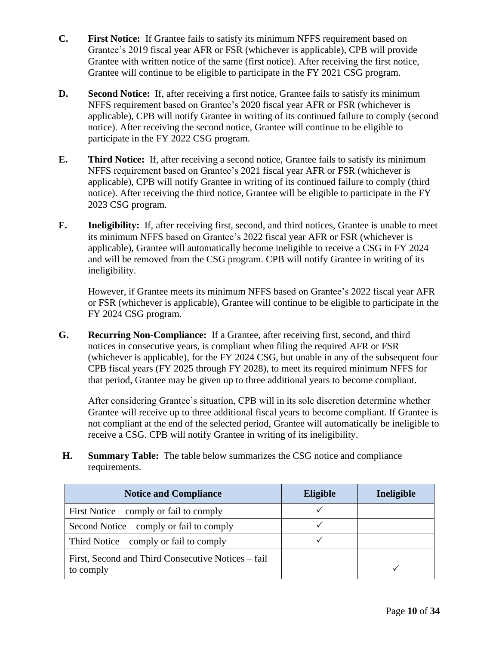- **C. First Notice:** If Grantee fails to satisfy its minimum NFFS requirement based on Grantee's 2019 fiscal year AFR or FSR (whichever is applicable), CPB will provide Grantee with written notice of the same (first notice). After receiving the first notice, Grantee will continue to be eligible to participate in the FY 2021 CSG program.
- **D. Second Notice:** If, after receiving a first notice, Grantee fails to satisfy its minimum NFFS requirement based on Grantee's 2020 fiscal year AFR or FSR (whichever is applicable), CPB will notify Grantee in writing of its continued failure to comply (second notice). After receiving the second notice, Grantee will continue to be eligible to participate in the FY 2022 CSG program.
- **E. Third Notice:** If, after receiving a second notice, Grantee fails to satisfy its minimum NFFS requirement based on Grantee's 2021 fiscal year AFR or FSR (whichever is applicable), CPB will notify Grantee in writing of its continued failure to comply (third notice). After receiving the third notice, Grantee will be eligible to participate in the FY 2023 CSG program.
- **F. Ineligibility:** If, after receiving first, second, and third notices, Grantee is unable to meet its minimum NFFS based on Grantee's 2022 fiscal year AFR or FSR (whichever is applicable), Grantee will automatically become ineligible to receive a CSG in FY 2024 and will be removed from the CSG program. CPB will notify Grantee in writing of its ineligibility.

However, if Grantee meets its minimum NFFS based on Grantee's 2022 fiscal year AFR or FSR (whichever is applicable), Grantee will continue to be eligible to participate in the FY 2024 CSG program.

**G. Recurring Non-Compliance:** If a Grantee, after receiving first, second, and third notices in consecutive years, is compliant when filing the required AFR or FSR (whichever is applicable), for the FY 2024 CSG, but unable in any of the subsequent four CPB fiscal years (FY 2025 through FY 2028), to meet its required minimum NFFS for that period, Grantee may be given up to three additional years to become compliant.

After considering Grantee's situation, CPB will in its sole discretion determine whether Grantee will receive up to three additional fiscal years to become compliant. If Grantee is not compliant at the end of the selected period, Grantee will automatically be ineligible to receive a CSG. CPB will notify Grantee in writing of its ineligibility.

**H. Summary Table:** The table below summarizes the CSG notice and compliance requirements.

| <b>Notice and Compliance</b>                                    | <b>Eligible</b> | Ineligible |
|-----------------------------------------------------------------|-----------------|------------|
| First Notice $-\text{comply}$ or fail to comply                 |                 |            |
| Second Notice – comply or fail to comply                        |                 |            |
| Third Notice $-\text{comply}$ or fail to comply                 |                 |            |
| First, Second and Third Consecutive Notices – fail<br>to comply |                 |            |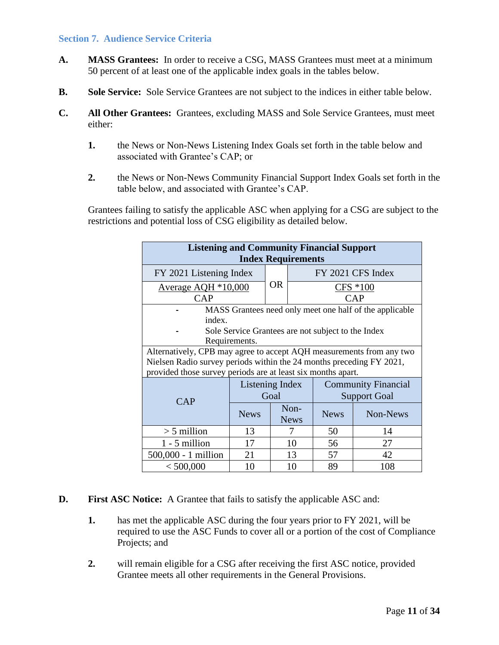#### <span id="page-10-0"></span>**Section 7. Audience Service Criteria**

- **A. MASS Grantees:** In order to receive a CSG, MASS Grantees must meet at a minimum 50 percent of at least one of the applicable index goals in the tables below.
- **B. Sole Service:** Sole Service Grantees are not subject to the indices in either table below.
- **C. All Other Grantees:** Grantees, excluding MASS and Sole Service Grantees, must meet either:
	- **1.** the News or Non-News Listening Index Goals set forth in the table below and associated with Grantee's CAP; or
	- **2.** the News or Non-News Community Financial Support Index Goals set forth in the table below, and associated with Grantee's CAP.

Grantees failing to satisfy the applicable ASC when applying for a CSG are subject to the restrictions and potential loss of CSG eligibility as detailed below.

| <b>Listening and Community Financial Support</b><br><b>Index Requirements</b> |                                               |                 |             |                                                    |                                                         |  |  |
|-------------------------------------------------------------------------------|-----------------------------------------------|-----------------|-------------|----------------------------------------------------|---------------------------------------------------------|--|--|
| FY 2021 Listening Index                                                       |                                               | <b>OR</b>       |             | FY 2021 CFS Index                                  |                                                         |  |  |
|                                                                               | Average $AQH * 10,000$                        |                 |             |                                                    | $CFS * 100$                                             |  |  |
| CAP                                                                           |                                               |                 |             |                                                    | <b>CAP</b>                                              |  |  |
|                                                                               |                                               |                 |             |                                                    | MASS Grantees need only meet one half of the applicable |  |  |
| index.                                                                        |                                               |                 |             |                                                    |                                                         |  |  |
|                                                                               |                                               |                 |             | Sole Service Grantees are not subject to the Index |                                                         |  |  |
|                                                                               | Requirements.                                 |                 |             |                                                    |                                                         |  |  |
| Alternatively, CPB may agree to accept AQH measurements from any two          |                                               |                 |             |                                                    |                                                         |  |  |
| Nielsen Radio survey periods within the 24 months preceding FY 2021,          |                                               |                 |             |                                                    |                                                         |  |  |
| provided those survey periods are at least six months apart.                  |                                               |                 |             |                                                    |                                                         |  |  |
|                                                                               | Listening Index<br><b>Community Financial</b> |                 |             |                                                    |                                                         |  |  |
| CAP                                                                           | Goal                                          |                 |             | <b>Support Goal</b>                                |                                                         |  |  |
|                                                                               |                                               |                 | Non-        |                                                    |                                                         |  |  |
|                                                                               | <b>News</b>                                   |                 | <b>News</b> | <b>News</b>                                        | Non-News                                                |  |  |
| $> 5$ million                                                                 | 13                                            |                 | 7           | 50                                                 | 14                                                      |  |  |
| $1 - 5$ million                                                               | 17                                            |                 | 10          | 56                                                 | 27                                                      |  |  |
| 500,000 - 1 million                                                           | 21                                            |                 | 13          | 57                                                 | 42                                                      |  |  |
| < 500,000                                                                     | 10                                            | 89<br>108<br>10 |             |                                                    |                                                         |  |  |

- **D. First ASC Notice:** A Grantee that fails to satisfy the applicable ASC and:
	- **1.** has met the applicable ASC during the four years prior to FY 2021, will be required to use the ASC Funds to cover all or a portion of the cost of Compliance Projects; and
	- **2.** will remain eligible for a CSG after receiving the first ASC notice, provided Grantee meets all other requirements in the General Provisions.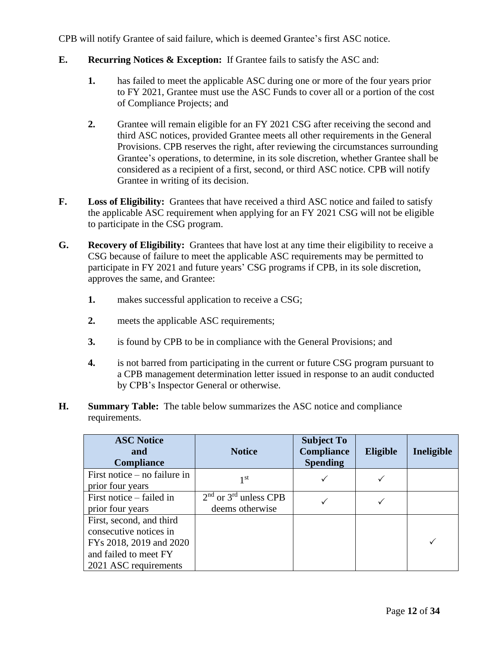CPB will notify Grantee of said failure, which is deemed Grantee's first ASC notice.

- **E. Recurring Notices & Exception:** If Grantee fails to satisfy the ASC and:
	- **1.** has failed to meet the applicable ASC during one or more of the four years prior to FY 2021, Grantee must use the ASC Funds to cover all or a portion of the cost of Compliance Projects; and
	- **2.** Grantee will remain eligible for an FY 2021 CSG after receiving the second and third ASC notices, provided Grantee meets all other requirements in the General Provisions. CPB reserves the right, after reviewing the circumstances surrounding Grantee's operations, to determine, in its sole discretion, whether Grantee shall be considered as a recipient of a first, second, or third ASC notice. CPB will notify Grantee in writing of its decision.
- **F.** Loss of Eligibility: Grantees that have received a third ASC notice and failed to satisfy the applicable ASC requirement when applying for an FY 2021 CSG will not be eligible to participate in the CSG program.
- **G. Recovery of Eligibility:** Grantees that have lost at any time their eligibility to receive a CSG because of failure to meet the applicable ASC requirements may be permitted to participate in FY 2021 and future years' CSG programs if CPB, in its sole discretion, approves the same, and Grantee:
	- **1.** makes successful application to receive a CSG;
	- **2.** meets the applicable ASC requirements;
	- **3.** is found by CPB to be in compliance with the General Provisions; and
	- **4.** is not barred from participating in the current or future CSG program pursuant to a CPB management determination letter issued in response to an audit conducted by CPB's Inspector General or otherwise.
- **H. Summary Table:** The table below summarizes the ASC notice and compliance requirements.

| <b>ASC Notice</b><br>and<br><b>Compliance</b>                                                                                   | <b>Notice</b>                                | <b>Subject To</b><br>Compliance<br><b>Spending</b> | <b>Eligible</b> | Ineligible |
|---------------------------------------------------------------------------------------------------------------------------------|----------------------------------------------|----------------------------------------------------|-----------------|------------|
| First notice $-$ no failure in<br>prior four years                                                                              | 1 <sup>st</sup>                              |                                                    |                 |            |
| First notice – failed in<br>prior four years                                                                                    | $2nd$ or $3rd$ unless CPB<br>deems otherwise |                                                    |                 |            |
| First, second, and third<br>consecutive notices in<br>FYs 2018, 2019 and 2020<br>and failed to meet FY<br>2021 ASC requirements |                                              |                                                    |                 |            |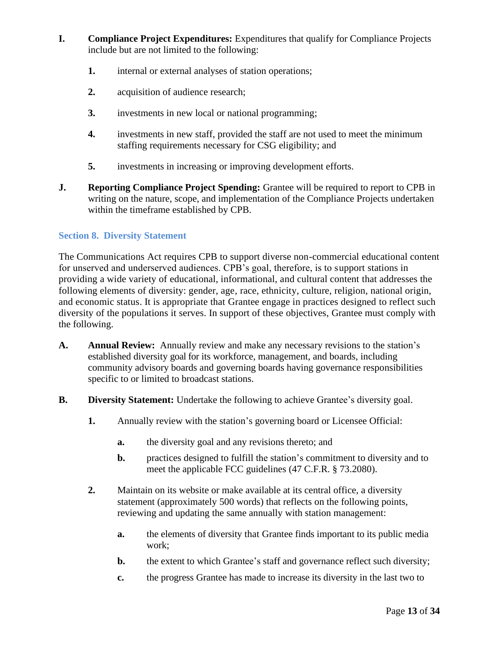- **I. Compliance Project Expenditures:** Expenditures that qualify for Compliance Projects include but are not limited to the following:
	- **1.** internal or external analyses of station operations;
	- **2.** acquisition of audience research;
	- **3.** investments in new local or national programming;
	- **4.** investments in new staff, provided the staff are not used to meet the minimum staffing requirements necessary for CSG eligibility; and
	- **5.** investments in increasing or improving development efforts.
- **J. Reporting Compliance Project Spending:** Grantee will be required to report to CPB in writing on the nature, scope, and implementation of the Compliance Projects undertaken within the timeframe established by CPB.

## <span id="page-12-0"></span>**Section 8. Diversity Statement**

The Communications Act requires CPB to support diverse non-commercial educational content for unserved and underserved audiences. CPB's goal, therefore, is to support stations in providing a wide variety of educational, informational, and cultural content that addresses the following elements of diversity: gender, age, race, ethnicity, culture, religion, national origin, and economic status. It is appropriate that Grantee engage in practices designed to reflect such diversity of the populations it serves. In support of these objectives, Grantee must comply with the following.

- **A. Annual Review:** Annually review and make any necessary revisions to the station's established diversity goal for its workforce, management, and boards, including community advisory boards and governing boards having governance responsibilities specific to or limited to broadcast stations.
- **B. Diversity Statement:** Undertake the following to achieve Grantee's diversity goal.
	- **1.** Annually review with the station's governing board or Licensee Official:
		- **a.** the diversity goal and any revisions thereto; and
		- **b.** practices designed to fulfill the station's commitment to diversity and to meet the applicable FCC guidelines (47 C.F.R. § 73.2080).
	- **2.** Maintain on its website or make available at its central office, a diversity statement (approximately 500 words) that reflects on the following points, reviewing and updating the same annually with station management:
		- **a.** the elements of diversity that Grantee finds important to its public media work;
		- **b.** the extent to which Grantee's staff and governance reflect such diversity;
		- **c.** the progress Grantee has made to increase its diversity in the last two to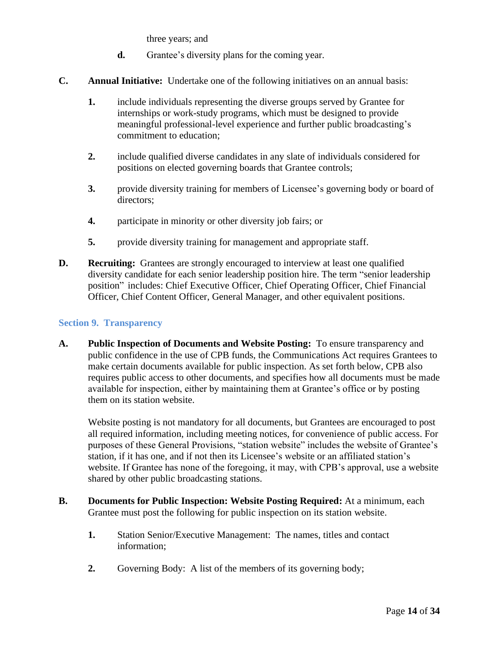three years; and

- **d.** Grantee's diversity plans for the coming year.
- **C. Annual Initiative:** Undertake one of the following initiatives on an annual basis:
	- **1.** include individuals representing the diverse groups served by Grantee for internships or work-study programs, which must be designed to provide meaningful professional-level experience and further public broadcasting's commitment to education;
	- **2.** include qualified diverse candidates in any slate of individuals considered for positions on elected governing boards that Grantee controls;
	- **3.** provide diversity training for members of Licensee's governing body or board of directors;
	- **4.** participate in minority or other diversity job fairs; or
	- **5.** provide diversity training for management and appropriate staff.
- **D. Recruiting:** Grantees are strongly encouraged to interview at least one qualified diversity candidate for each senior leadership position hire. The term "senior leadership position" includes: Chief Executive Officer, Chief Operating Officer, Chief Financial Officer, Chief Content Officer, General Manager, and other equivalent positions.

#### <span id="page-13-0"></span>**Section 9. Transparency**

**A. Public Inspection of Documents and Website Posting:** To ensure transparency and public confidence in the use of CPB funds, the Communications Act requires Grantees to make certain documents available for public inspection. As set forth below, CPB also requires public access to other documents, and specifies how all documents must be made available for inspection, either by maintaining them at Grantee's office or by posting them on its station website.

Website posting is not mandatory for all documents, but Grantees are encouraged to post all required information, including meeting notices, for convenience of public access. For purposes of these General Provisions, "station website" includes the website of Grantee's station, if it has one, and if not then its Licensee's website or an affiliated station's website. If Grantee has none of the foregoing, it may, with CPB's approval, use a website shared by other public broadcasting stations.

- **B. Documents for Public Inspection: Website Posting Required:** At a minimum, each Grantee must post the following for public inspection on its station website.
	- **1.** Station Senior/Executive Management:The names, titles and contact information;
	- **2.** Governing Body: A list of the members of its governing body;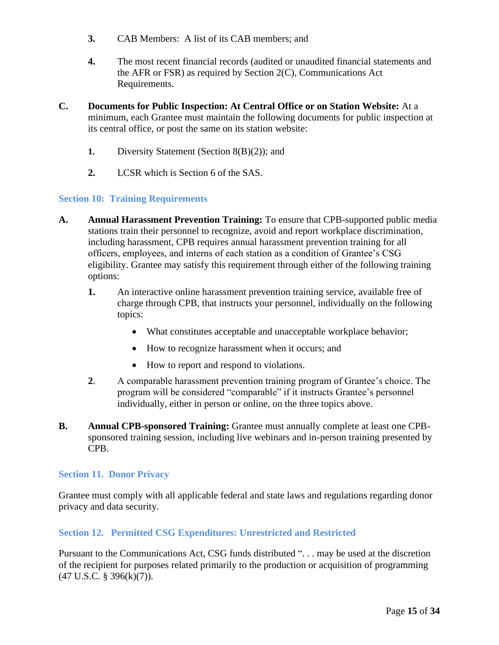- **3.** CAB Members: A list of its CAB members; and
- **4.** The most recent financial records (audited or unaudited financial statements and the AFR or FSR) as required by Section 2(C), Communications Act Requirements.
- **C. Documents for Public Inspection: At Central Office or on Station Website:** At a minimum, each Grantee must maintain the following documents for public inspection at its central office, or post the same on its station website:
	- **1.** Diversity Statement (Section 8(B)(2)); and
	- **2.** LCSR which is Section 6 of the SAS.

#### <span id="page-14-0"></span>**Section 10: Training Requirements**

- **A. Annual Harassment Prevention Training:** To ensure that CPB-supported public media stations train their personnel to recognize, avoid and report workplace discrimination, including harassment, CPB requires annual harassment prevention training for all officers, employees, and interns of each station as a condition of Grantee's CSG eligibility. Grantee may satisfy this requirement through either of the following training options:
	- **1.** An interactive online harassment prevention training service, available free of charge through CPB, that instructs your personnel, individually on the following topics:
		- What constitutes acceptable and unacceptable workplace behavior;
		- How to recognize harassment when it occurs; and
		- How to report and respond to violations.
	- **2**. A comparable harassment prevention training program of Grantee's choice. The program will be considered "comparable" if it instructs Grantee's personnel individually, either in person or online, on the three topics above.
- **B. Annual CPB-sponsored Training:** Grantee must annually complete at least one CPBsponsored training session, including live webinars and in-person training presented by CPB.

#### <span id="page-14-1"></span>**Section 11. Donor Privacy**

Grantee must comply with all applicable federal and state laws and regulations regarding donor privacy and data security.

## <span id="page-14-2"></span>**Section 12. Permitted CSG Expenditures: Unrestricted and Restricted**

Pursuant to the Communications Act, CSG funds distributed ". . . may be used at the discretion of the recipient for purposes related primarily to the production or acquisition of programming  $(47 \text{ U.S.C. } § 396(k)(7)).$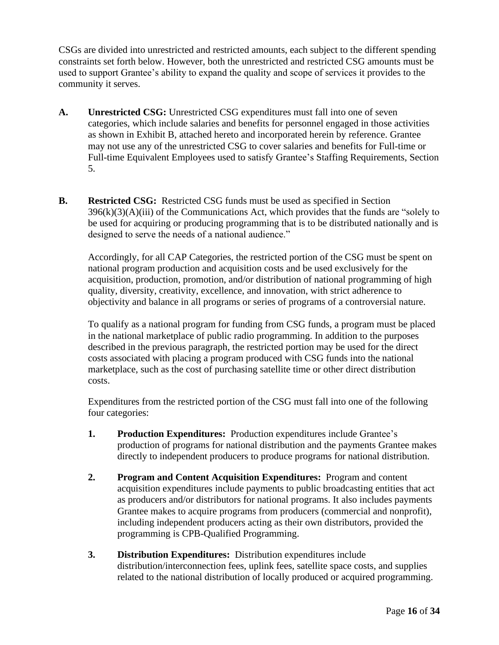CSGs are divided into unrestricted and restricted amounts, each subject to the different spending constraints set forth below. However, both the unrestricted and restricted CSG amounts must be used to support Grantee's ability to expand the quality and scope of services it provides to the community it serves.

- **A. Unrestricted CSG:** Unrestricted CSG expenditures must fall into one of seven categories, which include salaries and benefits for personnel engaged in those activities as shown in Exhibit B, attached hereto and incorporated herein by reference. Grantee may not use any of the unrestricted CSG to cover salaries and benefits for Full-time or Full-time Equivalent Employees used to satisfy Grantee's Staffing Requirements, Section 5.
- **B. Restricted CSG:** Restricted CSG funds must be used as specified in Section  $396(k)(3)(A)(iii)$  of the Communications Act, which provides that the funds are "solely to be used for acquiring or producing programming that is to be distributed nationally and is designed to serve the needs of a national audience."

Accordingly, for all CAP Categories, the restricted portion of the CSG must be spent on national program production and acquisition costs and be used exclusively for the acquisition, production, promotion, and/or distribution of national programming of high quality, diversity, creativity, excellence, and innovation, with strict adherence to objectivity and balance in all programs or series of programs of a controversial nature.

To qualify as a national program for funding from CSG funds, a program must be placed in the national marketplace of public radio programming. In addition to the purposes described in the previous paragraph, the restricted portion may be used for the direct costs associated with placing a program produced with CSG funds into the national marketplace, such as the cost of purchasing satellite time or other direct distribution costs.

Expenditures from the restricted portion of the CSG must fall into one of the following four categories:

- **1. Production Expenditures:** Production expenditures include Grantee's production of programs for national distribution and the payments Grantee makes directly to independent producers to produce programs for national distribution.
- **2. Program and Content Acquisition Expenditures:** Program and content acquisition expenditures include payments to public broadcasting entities that act as producers and/or distributors for national programs. It also includes payments Grantee makes to acquire programs from producers (commercial and nonprofit), including independent producers acting as their own distributors, provided the programming is CPB-Qualified Programming.
- **3. Distribution Expenditures:** Distribution expenditures include distribution/interconnection fees, uplink fees, satellite space costs, and supplies related to the national distribution of locally produced or acquired programming.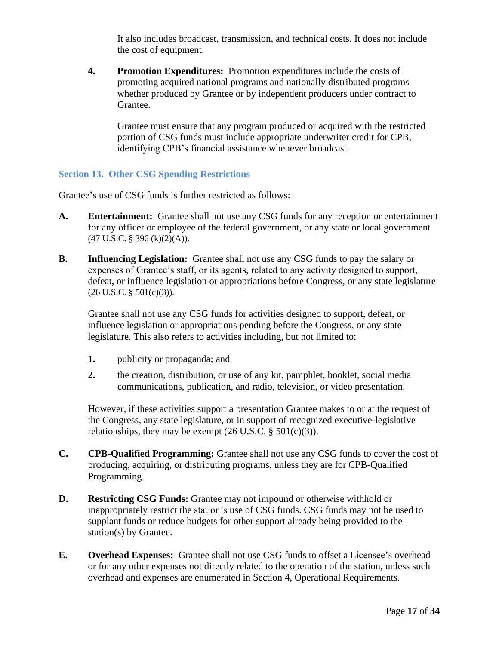It also includes broadcast, transmission, and technical costs. It does not include the cost of equipment.

**4. Promotion Expenditures:** Promotion expenditures include the costs of promoting acquired national programs and nationally distributed programs whether produced by Grantee or by independent producers under contract to Grantee.

Grantee must ensure that any program produced or acquired with the restricted portion of CSG funds must include appropriate underwriter credit for CPB, identifying CPB's financial assistance whenever broadcast.

#### <span id="page-16-0"></span>**Section 13. Other CSG Spending Restrictions**

Grantee's use of CSG funds is further restricted as follows:

- **A. Entertainment:** Grantee shall not use any CSG funds for any reception or entertainment for any officer or employee of the federal government, or any state or local government (47 U.S.C. § 396 (k)(2)(A)).
- **B. Influencing Legislation:** Grantee shall not use any CSG funds to pay the salary or expenses of Grantee's staff, or its agents, related to any activity designed to support, defeat, or influence legislation or appropriations before Congress, or any state legislature  $(26 \text{ U.S.C. } § 501(c)(3)).$

Grantee shall not use any CSG funds for activities designed to support, defeat, or influence legislation or appropriations pending before the Congress, or any state legislature. This also refers to activities including, but not limited to:

- **1.** publicity or propaganda; and
- **2.** the creation, distribution, or use of any kit, pamphlet, booklet, social media communications, publication, and radio, television, or video presentation.

However, if these activities support a presentation Grantee makes to or at the request of the Congress, any state legislature, or in support of recognized executive-legislative relationships, they may be exempt  $(26 \text{ U.S.C.} \S 501(c)(3))$ .

- **C. CPB-Qualified Programming:** Grantee shall not use any CSG funds to cover the cost of producing, acquiring, or distributing programs, unless they are for CPB-Qualified Programming.
- **D. Restricting CSG Funds:** Grantee may not impound or otherwise withhold or inappropriately restrict the station's use of CSG funds. CSG funds may not be used to supplant funds or reduce budgets for other support already being provided to the station(s) by Grantee.
- **E. Overhead Expenses:** Grantee shall not use CSG funds to offset a Licensee's overhead or for any other expenses not directly related to the operation of the station, unless such overhead and expenses are enumerated in Section 4, Operational Requirements.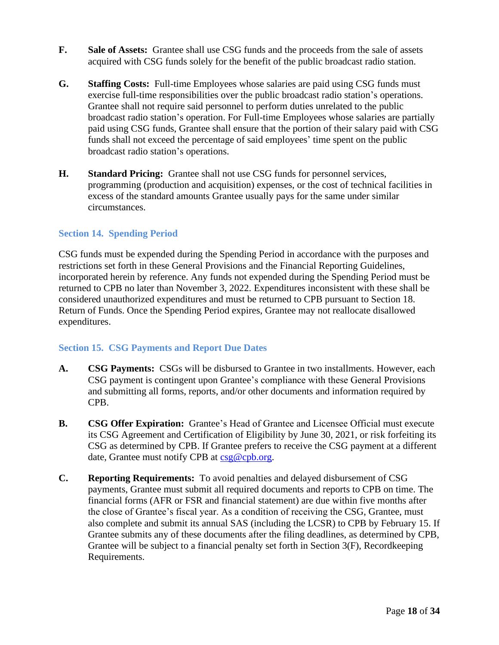- **F. Sale of Assets:** Grantee shall use CSG funds and the proceeds from the sale of assets acquired with CSG funds solely for the benefit of the public broadcast radio station.
- **G. Staffing Costs:** Full-time Employees whose salaries are paid using CSG funds must exercise full-time responsibilities over the public broadcast radio station's operations. Grantee shall not require said personnel to perform duties unrelated to the public broadcast radio station's operation. For Full-time Employees whose salaries are partially paid using CSG funds, Grantee shall ensure that the portion of their salary paid with CSG funds shall not exceed the percentage of said employees' time spent on the public broadcast radio station's operations.
- **H. Standard Pricing:** Grantee shall not use CSG funds for personnel services, programming (production and acquisition) expenses, or the cost of technical facilities in excess of the standard amounts Grantee usually pays for the same under similar circumstances.

#### <span id="page-17-0"></span>**Section 14. Spending Period**

CSG funds must be expended during the Spending Period in accordance with the purposes and restrictions set forth in these General Provisions and the Financial Reporting Guidelines, incorporated herein by reference. Any funds not expended during the Spending Period must be returned to CPB no later than November 3, 2022. Expenditures inconsistent with these shall be considered unauthorized expenditures and must be returned to CPB pursuant to Section 18. Return of Funds. Once the Spending Period expires, Grantee may not reallocate disallowed expenditures.

#### <span id="page-17-1"></span>**Section 15. CSG Payments and Report Due Dates**

- **A. CSG Payments:** CSGs will be disbursed to Grantee in two installments. However, each CSG payment is contingent upon Grantee's compliance with these General Provisions and submitting all forms, reports, and/or other documents and information required by CPB.
- **B. CSG Offer Expiration:** Grantee's Head of Grantee and Licensee Official must execute its CSG Agreement and Certification of Eligibility by June 30, 2021, or risk forfeiting its CSG as determined by CPB. If Grantee prefers to receive the CSG payment at a different date, Grantee must notify CPB at [csg@cpb.org.](mailto:csg@cpb.org)
- **C. Reporting Requirements:** To avoid penalties and delayed disbursement of CSG payments, Grantee must submit all required documents and reports to CPB on time. The financial forms (AFR or FSR and financial statement) are due within five months after the close of Grantee's fiscal year. As a condition of receiving the CSG, Grantee, must also complete and submit its annual SAS (including the LCSR) to CPB by February 15. If Grantee submits any of these documents after the filing deadlines, as determined by CPB, Grantee will be subject to a financial penalty set forth in Section 3(F), Recordkeeping Requirements.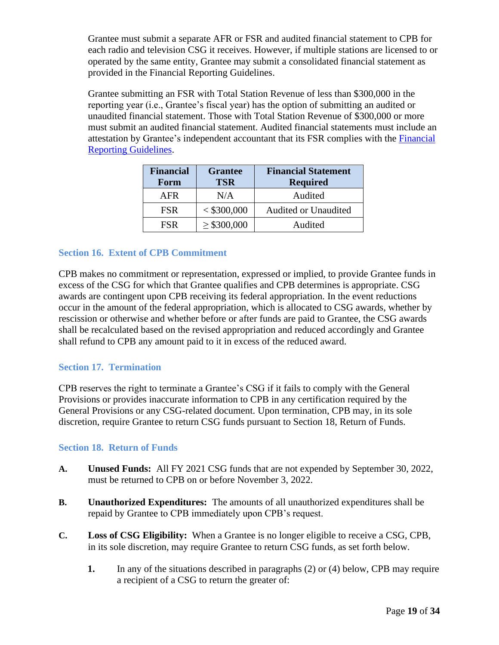Grantee must submit a separate AFR or FSR and audited financial statement to CPB for each radio and television CSG it receives. However, if multiple stations are licensed to or operated by the same entity, Grantee may submit a consolidated financial statement as provided in the Financial Reporting Guidelines.

Grantee submitting an FSR with Total Station Revenue of less than \$300,000 in the reporting year (i.e., Grantee's fiscal year) has the option of submitting an audited or unaudited financial statement. Those with Total Station Revenue of \$300,000 or more must submit an audited financial statement. Audited financial statements must include an attestation by Grantee's independent accountant that its FSR complies with the Financial [Reporting Guidelines.](http://www.cpb.org/stations/frg/)

| <b>Financial</b><br>Form | <b>Grantee</b><br><b>TSR</b> | <b>Financial Statement</b><br><b>Required</b> |
|--------------------------|------------------------------|-----------------------------------------------|
| <b>AFR</b>               | N/A                          | Audited                                       |
| <b>FSR</b>               | < \$300,000                  | <b>Audited or Unaudited</b>                   |
| <b>FSR</b>               | $\geq$ \$300,000             | Audited                                       |

## <span id="page-18-0"></span>**Section 16. Extent of CPB Commitment**

CPB makes no commitment or representation, expressed or implied, to provide Grantee funds in excess of the CSG for which that Grantee qualifies and CPB determines is appropriate. CSG awards are contingent upon CPB receiving its federal appropriation. In the event reductions occur in the amount of the federal appropriation, which is allocated to CSG awards, whether by rescission or otherwise and whether before or after funds are paid to Grantee, the CSG awards shall be recalculated based on the revised appropriation and reduced accordingly and Grantee shall refund to CPB any amount paid to it in excess of the reduced award.

#### <span id="page-18-1"></span>**Section 17. Termination**

CPB reserves the right to terminate a Grantee's CSG if it fails to comply with the General Provisions or provides inaccurate information to CPB in any certification required by the General Provisions or any CSG-related document. Upon termination, CPB may, in its sole discretion, require Grantee to return CSG funds pursuant to Section 18, Return of Funds.

#### <span id="page-18-2"></span>**Section 18. Return of Funds**

- **A. Unused Funds:** All FY 2021 CSG funds that are not expended by September 30, 2022, must be returned to CPB on or before November 3, 2022.
- **B. Unauthorized Expenditures:** The amounts of all unauthorized expenditures shall be repaid by Grantee to CPB immediately upon CPB's request.
- **C. Loss of CSG Eligibility:** When a Grantee is no longer eligible to receive a CSG, CPB, in its sole discretion, may require Grantee to return CSG funds, as set forth below.
	- **1.** In any of the situations described in paragraphs (2) or (4) below, CPB may require a recipient of a CSG to return the greater of: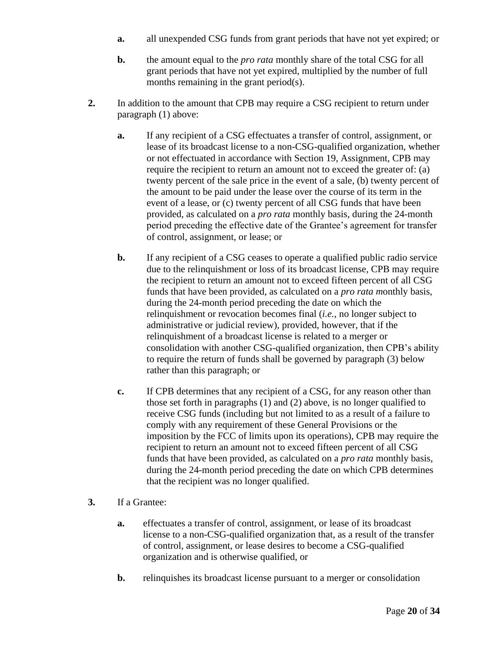- **a.** all unexpended CSG funds from grant periods that have not yet expired; or
- **b.** the amount equal to the *pro rata* monthly share of the total CSG for all grant periods that have not yet expired, multiplied by the number of full months remaining in the grant period(s).
- **2.** In addition to the amount that CPB may require a CSG recipient to return under paragraph (1) above:
	- **a.** If any recipient of a CSG effectuates a transfer of control, assignment, or lease of its broadcast license to a non-CSG-qualified organization, whether or not effectuated in accordance with Section 19, Assignment, CPB may require the recipient to return an amount not to exceed the greater of: (a) twenty percent of the sale price in the event of a sale, (b) twenty percent of the amount to be paid under the lease over the course of its term in the event of a lease, or (c) twenty percent of all CSG funds that have been provided, as calculated on a *pro rata* monthly basis, during the 24-month period preceding the effective date of the Grantee's agreement for transfer of control, assignment, or lease; or
	- **b.** If any recipient of a CSG ceases to operate a qualified public radio service due to the relinquishment or loss of its broadcast license, CPB may require the recipient to return an amount not to exceed fifteen percent of all CSG funds that have been provided, as calculated on a *pro rata m*onthly basis, during the 24-month period preceding the date on which the relinquishment or revocation becomes final (*i.e.*, no longer subject to administrative or judicial review), provided, however, that if the relinquishment of a broadcast license is related to a merger or consolidation with another CSG-qualified organization, then CPB's ability to require the return of funds shall be governed by paragraph (3) below rather than this paragraph; or
	- **c.** If CPB determines that any recipient of a CSG, for any reason other than those set forth in paragraphs (1) and (2) above, is no longer qualified to receive CSG funds (including but not limited to as a result of a failure to comply with any requirement of these General Provisions or the imposition by the FCC of limits upon its operations), CPB may require the recipient to return an amount not to exceed fifteen percent of all CSG funds that have been provided, as calculated on a *pro rata* monthly basis, during the 24-month period preceding the date on which CPB determines that the recipient was no longer qualified.
- **3.** If a Grantee:
	- **a.** effectuates a transfer of control, assignment, or lease of its broadcast license to a non-CSG-qualified organization that, as a result of the transfer of control, assignment, or lease desires to become a CSG-qualified organization and is otherwise qualified, or
	- **b.** relinquishes its broadcast license pursuant to a merger or consolidation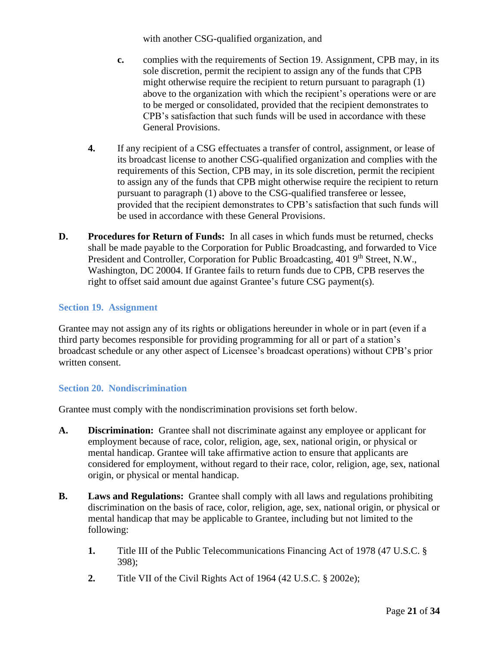with another CSG-qualified organization, and

- **c.** complies with the requirements of Section 19. Assignment, CPB may, in its sole discretion, permit the recipient to assign any of the funds that CPB might otherwise require the recipient to return pursuant to paragraph (1) above to the organization with which the recipient's operations were or are to be merged or consolidated, provided that the recipient demonstrates to CPB's satisfaction that such funds will be used in accordance with these General Provisions.
- **4.** If any recipient of a CSG effectuates a transfer of control, assignment, or lease of its broadcast license to another CSG-qualified organization and complies with the requirements of this Section, CPB may, in its sole discretion, permit the recipient to assign any of the funds that CPB might otherwise require the recipient to return pursuant to paragraph (1) above to the CSG-qualified transferee or lessee, provided that the recipient demonstrates to CPB's satisfaction that such funds will be used in accordance with these General Provisions.
- **D. Procedures for Return of Funds:** In all cases in which funds must be returned, checks shall be made payable to the Corporation for Public Broadcasting, and forwarded to Vice President and Controller, Corporation for Public Broadcasting, 401 9<sup>th</sup> Street, N.W., Washington, DC 20004. If Grantee fails to return funds due to CPB, CPB reserves the right to offset said amount due against Grantee's future CSG payment(s).

#### <span id="page-20-0"></span>**Section 19. Assignment**

Grantee may not assign any of its rights or obligations hereunder in whole or in part (even if a third party becomes responsible for providing programming for all or part of a station's broadcast schedule or any other aspect of Licensee's broadcast operations) without CPB's prior written consent.

## <span id="page-20-1"></span>**Section 20. Nondiscrimination**

Grantee must comply with the nondiscrimination provisions set forth below.

- **A. Discrimination:** Grantee shall not discriminate against any employee or applicant for employment because of race, color, religion, age, sex, national origin, or physical or mental handicap. Grantee will take affirmative action to ensure that applicants are considered for employment, without regard to their race, color, religion, age, sex, national origin, or physical or mental handicap.
- **B. Laws and Regulations:** Grantee shall comply with all laws and regulations prohibiting discrimination on the basis of race, color, religion, age, sex, national origin, or physical or mental handicap that may be applicable to Grantee, including but not limited to the following:
	- **1.** Title III of the Public Telecommunications Financing Act of 1978 (47 U.S.C. § 398);
	- **2.** Title VII of the Civil Rights Act of 1964 (42 U.S.C. § 2002e);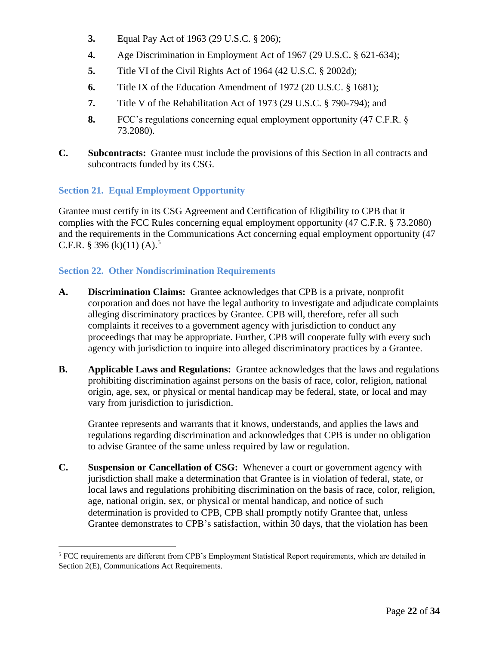- **3.** Equal Pay Act of 1963 (29 U.S.C. § 206);
- **4.** Age Discrimination in Employment Act of 1967 (29 U.S.C. § 621-634);
- **5.** Title VI of the Civil Rights Act of 1964 (42 U.S.C. § 2002d);
- **6.** Title IX of the Education Amendment of 1972 (20 U.S.C. § 1681);
- **7.** Title V of the Rehabilitation Act of 1973 (29 U.S.C. § 790-794); and
- **8.** FCC's regulations concerning equal employment opportunity (47 C.F.R. § 73.2080).
- **C. Subcontracts:** Grantee must include the provisions of this Section in all contracts and subcontracts funded by its CSG.

## <span id="page-21-0"></span>**Section 21. Equal Employment Opportunity**

Grantee must certify in its CSG Agreement and Certification of Eligibility to CPB that it complies with the FCC Rules concerning equal employment opportunity (47 C.F.R. § 73.2080) and the requirements in the Communications Act concerning equal employment opportunity (47 C.F.R. § 396 (k)(11) (A).<sup>5</sup>

## <span id="page-21-1"></span>**Section 22. Other Nondiscrimination Requirements**

- **A. Discrimination Claims:** Grantee acknowledges that CPB is a private, nonprofit corporation and does not have the legal authority to investigate and adjudicate complaints alleging discriminatory practices by Grantee. CPB will, therefore, refer all such complaints it receives to a government agency with jurisdiction to conduct any proceedings that may be appropriate. Further, CPB will cooperate fully with every such agency with jurisdiction to inquire into alleged discriminatory practices by a Grantee.
- **B. Applicable Laws and Regulations:** Grantee acknowledges that the laws and regulations prohibiting discrimination against persons on the basis of race, color, religion, national origin, age, sex, or physical or mental handicap may be federal, state, or local and may vary from jurisdiction to jurisdiction.

Grantee represents and warrants that it knows, understands, and applies the laws and regulations regarding discrimination and acknowledges that CPB is under no obligation to advise Grantee of the same unless required by law or regulation.

**C. Suspension or Cancellation of CSG:** Whenever a court or government agency with jurisdiction shall make a determination that Grantee is in violation of federal, state, or local laws and regulations prohibiting discrimination on the basis of race, color, religion, age, national origin, sex, or physical or mental handicap, and notice of such determination is provided to CPB, CPB shall promptly notify Grantee that, unless Grantee demonstrates to CPB's satisfaction, within 30 days, that the violation has been

<sup>5</sup> FCC requirements are different from CPB's Employment Statistical Report requirements, which are detailed in Section 2(E), Communications Act Requirements.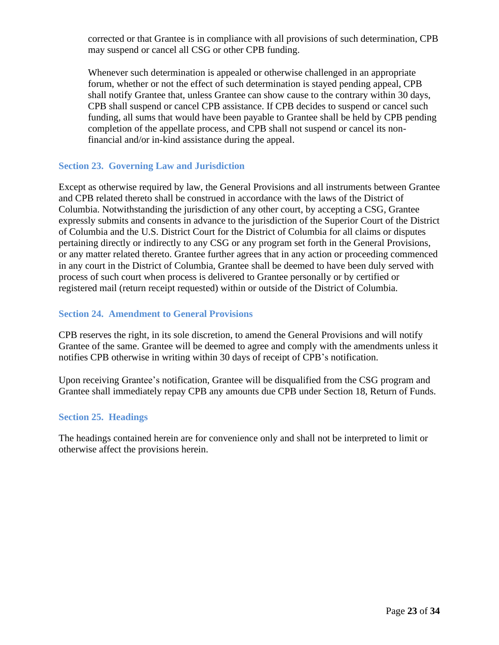corrected or that Grantee is in compliance with all provisions of such determination, CPB may suspend or cancel all CSG or other CPB funding.

Whenever such determination is appealed or otherwise challenged in an appropriate forum, whether or not the effect of such determination is stayed pending appeal, CPB shall notify Grantee that, unless Grantee can show cause to the contrary within 30 days, CPB shall suspend or cancel CPB assistance. If CPB decides to suspend or cancel such funding, all sums that would have been payable to Grantee shall be held by CPB pending completion of the appellate process, and CPB shall not suspend or cancel its nonfinancial and/or in-kind assistance during the appeal.

### <span id="page-22-0"></span>**Section 23. Governing Law and Jurisdiction**

Except as otherwise required by law, the General Provisions and all instruments between Grantee and CPB related thereto shall be construed in accordance with the laws of the District of Columbia. Notwithstanding the jurisdiction of any other court, by accepting a CSG, Grantee expressly submits and consents in advance to the jurisdiction of the Superior Court of the District of Columbia and the U.S. District Court for the District of Columbia for all claims or disputes pertaining directly or indirectly to any CSG or any program set forth in the General Provisions, or any matter related thereto. Grantee further agrees that in any action or proceeding commenced in any court in the District of Columbia, Grantee shall be deemed to have been duly served with process of such court when process is delivered to Grantee personally or by certified or registered mail (return receipt requested) within or outside of the District of Columbia.

#### <span id="page-22-1"></span>**Section 24. Amendment to General Provisions**

CPB reserves the right, in its sole discretion, to amend the General Provisions and will notify Grantee of the same. Grantee will be deemed to agree and comply with the amendments unless it notifies CPB otherwise in writing within 30 days of receipt of CPB's notification.

Upon receiving Grantee's notification, Grantee will be disqualified from the CSG program and Grantee shall immediately repay CPB any amounts due CPB under Section 18, Return of Funds.

#### <span id="page-22-2"></span>**Section 25. Headings**

The headings contained herein are for convenience only and shall not be interpreted to limit or otherwise affect the provisions herein.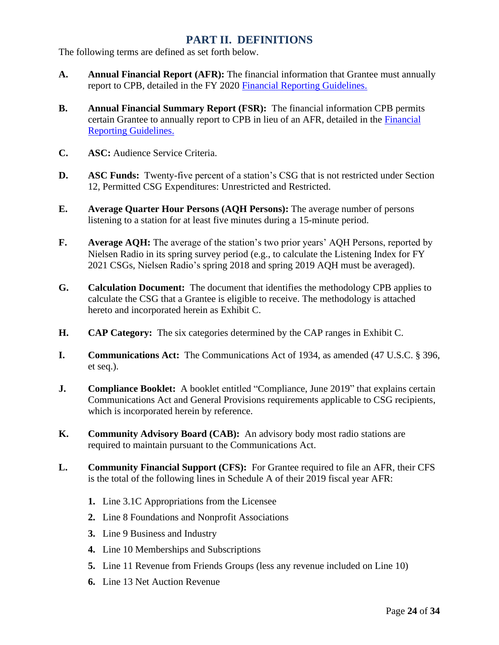## **PART II. DEFINITIONS**

<span id="page-23-0"></span>The following terms are defined as set forth below.

- **A. Annual Financial Report (AFR):** The financial information that Grantee must annually report to CPB, detailed in the FY 2020 [Financial Reporting Guidelines.](http://www.cpb.org/stations/frg/)
- **B. Annual Financial Summary Report (FSR):** The financial information CPB permits certain Grantee to annually report to CPB in lieu of an AFR, detailed in the [Financial](http://www.cpb.org/stations/frg/)  [Reporting Guidelines.](http://www.cpb.org/stations/frg/)
- **C. ASC:** Audience Service Criteria.
- **D. ASC Funds:** Twenty-five percent of a station's CSG that is not restricted under Section 12, Permitted CSG Expenditures: Unrestricted and Restricted.
- **E. Average Quarter Hour Persons (AQH Persons):** The average number of persons listening to a station for at least five minutes during a 15-minute period.
- **F. Average AQH:** The average of the station's two prior years' AQH Persons, reported by Nielsen Radio in its spring survey period (e.g., to calculate the Listening Index for FY 2021 CSGs, Nielsen Radio's spring 2018 and spring 2019 AQH must be averaged).
- **G. Calculation Document:** The document that identifies the methodology CPB applies to calculate the CSG that a Grantee is eligible to receive. The methodology is attached hereto and incorporated herein as Exhibit C.
- **H. CAP Category:** The six categories determined by the CAP ranges in Exhibit C.
- **I. Communications Act:** The Communications Act of 1934, as amended (47 U.S.C. § 396, et seq.).
- **J. Compliance Booklet:** A booklet entitled "Compliance, June 2019" that explains certain Communications Act and General Provisions requirements applicable to CSG recipients, which is incorporated herein by reference.
- **K. Community Advisory Board (CAB):** An advisory body most radio stations are required to maintain pursuant to the Communications Act.
- **L. Community Financial Support (CFS):** For Grantee required to file an AFR, their CFS is the total of the following lines in Schedule A of their 2019 fiscal year AFR:
	- **1.** Line 3.1C Appropriations from the Licensee
	- **2.** Line 8 Foundations and Nonprofit Associations
	- **3.** Line 9 Business and Industry
	- **4.** Line 10 Memberships and Subscriptions
	- **5.** Line 11 Revenue from Friends Groups (less any revenue included on Line 10)
	- **6.** Line 13 Net Auction Revenue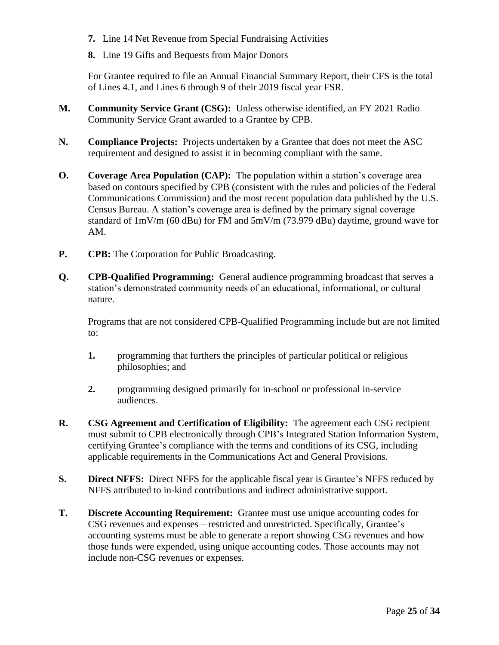- **7.** Line 14 Net Revenue from Special Fundraising Activities
- **8.** Line 19 Gifts and Bequests from Major Donors

For Grantee required to file an Annual Financial Summary Report, their CFS is the total of Lines 4.1, and Lines 6 through 9 of their 2019 fiscal year FSR.

- **M. Community Service Grant (CSG):** Unless otherwise identified, an FY 2021 Radio Community Service Grant awarded to a Grantee by CPB.
- **N. Compliance Projects:** Projects undertaken by a Grantee that does not meet the ASC requirement and designed to assist it in becoming compliant with the same.
- **O. Coverage Area Population (CAP):** The population within a station's coverage area based on contours specified by CPB (consistent with the rules and policies of the Federal Communications Commission) and the most recent population data published by the U.S. Census Bureau. A station's coverage area is defined by the primary signal coverage standard of 1mV/m (60 dBu) for FM and 5mV/m (73.979 dBu) daytime, ground wave for AM.
- **P. CPB:** The Corporation for Public Broadcasting.
- **Q. CPB-Qualified Programming:** General audience programming broadcast that serves a station's demonstrated community needs of an educational, informational, or cultural nature.

Programs that are not considered CPB-Qualified Programming include but are not limited to:

- **1.** programming that furthers the principles of particular political or religious philosophies; and
- **2.** programming designed primarily for in-school or professional in-service audiences.
- **R. CSG Agreement and Certification of Eligibility:** The agreement each CSG recipient must submit to CPB electronically through CPB's Integrated Station Information System, certifying Grantee's compliance with the terms and conditions of its CSG, including applicable requirements in the Communications Act and General Provisions.
- **S. Direct NFFS:** Direct NFFS for the applicable fiscal year is Grantee's NFFS reduced by NFFS attributed to in-kind contributions and indirect administrative support.
- **T. Discrete Accounting Requirement:** Grantee must use unique accounting codes for CSG revenues and expenses – restricted and unrestricted. Specifically, Grantee's accounting systems must be able to generate a report showing CSG revenues and how those funds were expended, using unique accounting codes. Those accounts may not include non-CSG revenues or expenses.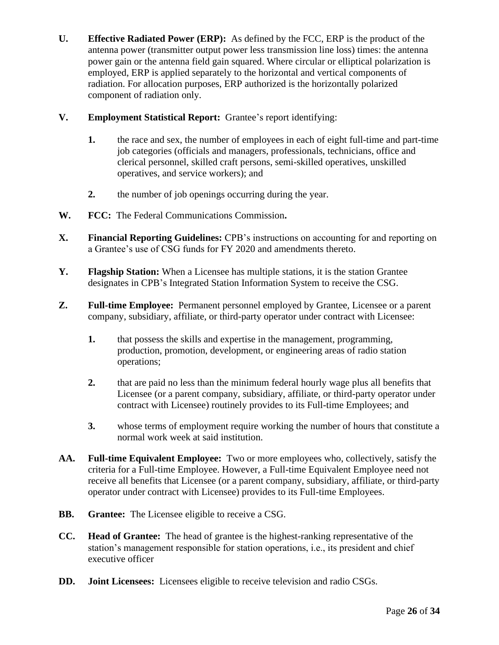- **U. Effective Radiated Power (ERP):** As defined by the FCC, ERP is the product of the antenna power (transmitter output power less transmission line loss) times: the antenna power gain or the antenna field gain squared. Where circular or elliptical polarization is employed, ERP is applied separately to the horizontal and vertical components of radiation. For allocation purposes, ERP authorized is the horizontally polarized component of radiation only.
- **V. Employment Statistical Report:** Grantee's report identifying:
	- **1.** the race and sex, the number of employees in each of eight full-time and part-time job categories (officials and managers, professionals, technicians, office and clerical personnel, skilled craft persons, semi-skilled operatives, unskilled operatives, and service workers); and
	- **2.** the number of job openings occurring during the year.
- **W. FCC:** The Federal Communications Commission**.**
- **X. Financial Reporting Guidelines:** CPB's instructions on accounting for and reporting on a Grantee's use of CSG funds for FY 2020 and amendments thereto.
- **Y. Flagship Station:** When a Licensee has multiple stations, it is the station Grantee designates in CPB's Integrated Station Information System to receive the CSG.
- **Z. Full-time Employee:** Permanent personnel employed by Grantee, Licensee or a parent company, subsidiary, affiliate, or third-party operator under contract with Licensee:
	- **1.** that possess the skills and expertise in the management, programming, production, promotion, development, or engineering areas of radio station operations;
	- **2.** that are paid no less than the minimum federal hourly wage plus all benefits that Licensee (or a parent company, subsidiary, affiliate, or third-party operator under contract with Licensee) routinely provides to its Full-time Employees; and
	- **3.** whose terms of employment require working the number of hours that constitute a normal work week at said institution.
- **AA. Full-time Equivalent Employee:** Two or more employees who, collectively, satisfy the criteria for a Full-time Employee. However, a Full-time Equivalent Employee need not receive all benefits that Licensee (or a parent company, subsidiary, affiliate, or third-party operator under contract with Licensee) provides to its Full-time Employees.
- **BB. Grantee:** The Licensee eligible to receive a CSG.
- **CC. Head of Grantee:** The head of grantee is the highest-ranking representative of the station's management responsible for station operations, i.e., its president and chief executive officer
- **DD. Joint Licensees:** Licensees eligible to receive television and radio CSGs.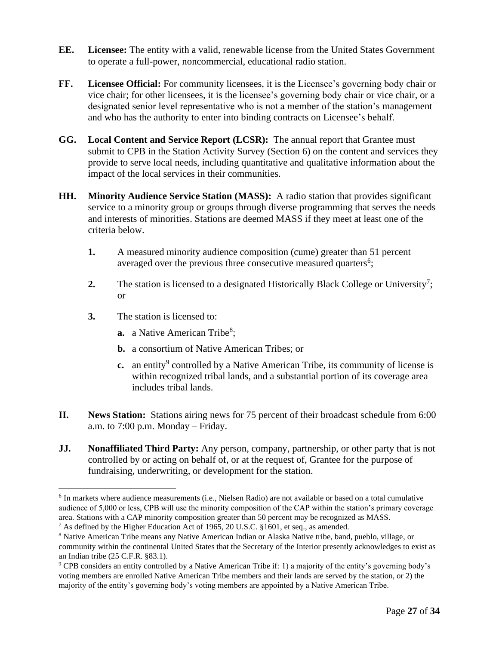- **EE. Licensee:** The entity with a valid, renewable license from the United States Government to operate a full-power, noncommercial, educational radio station.
- **FF. Licensee Official:** For community licensees, it is the Licensee's governing body chair or vice chair; for other licensees, it is the licensee's governing body chair or vice chair, or a designated senior level representative who is not a member of the station's management and who has the authority to enter into binding contracts on Licensee's behalf.
- **GG. Local Content and Service Report (LCSR):** The annual report that Grantee must submit to CPB in the Station Activity Survey (Section 6) on the content and services they provide to serve local needs, including quantitative and qualitative information about the impact of the local services in their communities.
- **HH. Minority Audience Service Station (MASS):** A radio station that provides significant service to a minority group or groups through diverse programming that serves the needs and interests of minorities. Stations are deemed MASS if they meet at least one of the criteria below.
	- **1.** A measured minority audience composition (cume) greater than 51 percent averaged over the previous three consecutive measured quarters<sup>6</sup>;
	- **2.** The station is licensed to a designated Historically Black College or University<sup>7</sup>; or
	- **3.** The station is licensed to:
		- **a.** a Native American Tribe<sup>8</sup>;
		- **b.** a consortium of Native American Tribes; or
		- **c.** an entity<sup>9</sup> controlled by a Native American Tribe, its community of license is within recognized tribal lands, and a substantial portion of its coverage area includes tribal lands.
- **II. News Station:** Stations airing news for 75 percent of their broadcast schedule from 6:00 a.m. to 7:00 p.m. Monday – Friday.
- **JJ. Nonaffiliated Third Party:** Any person, company, partnership, or other party that is not controlled by or acting on behalf of, or at the request of, Grantee for the purpose of fundraising, underwriting, or development for the station.

<sup>&</sup>lt;sup>6</sup> In markets where audience measurements (i.e., Nielsen Radio) are not available or based on a total cumulative audience of 5,000 or less, CPB will use the minority composition of the CAP within the station's primary coverage area. Stations with a CAP minority composition greater than 50 percent may be recognized as MASS.

<sup>&</sup>lt;sup>7</sup> As defined by the Higher Education Act of 1965, 20 U.S.C. §1601, et seq., as amended.

<sup>8</sup> Native American Tribe means any Native American Indian or Alaska Native tribe, band, pueblo, village, or community within the continental United States that the Secretary of the Interior presently acknowledges to exist as an Indian tribe (25 C.F.R. §83.1).

<sup>9</sup> CPB considers an entity controlled by a Native American Tribe if: 1) a majority of the entity's governing body's voting members are enrolled Native American Tribe members and their lands are served by the station, or 2) the majority of the entity's governing body's voting members are appointed by a Native American Tribe.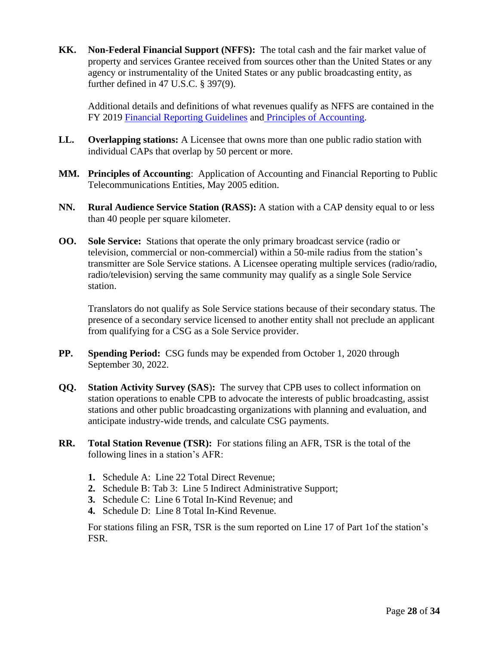**KK. Non-Federal Financial Support (NFFS):** The total cash and the fair market value of property and services Grantee received from sources other than the United States or any agency or instrumentality of the United States or any public broadcasting entity, as further defined in 47 U.S.C. § 397(9).

Additional details and definitions of what revenues qualify as NFFS are contained in the FY 2019 [Financial Reporting Guidelines](http://www.cpb.org/stations/frg/) and [Principles of Accounting.](http://www.cpb.org/stations/principles/principlesofaccounting050818.pdf)

- **LL. Overlapping stations:** A Licensee that owns more than one public radio station with individual CAPs that overlap by 50 percent or more.
- **MM. Principles of Accounting**: Application of Accounting and Financial Reporting to Public Telecommunications Entities, May 2005 edition.
- **NN. Rural Audience Service Station (RASS):** A station with a CAP density equal to or less than 40 people per square kilometer.
- **OO. Sole Service:** Stations that operate the only primary broadcast service (radio or television, commercial or non-commercial) within a 50-mile radius from the station's transmitter are Sole Service stations. A Licensee operating multiple services (radio/radio, radio/television) serving the same community may qualify as a single Sole Service station.

Translators do not qualify as Sole Service stations because of their secondary status. The presence of a secondary service licensed to another entity shall not preclude an applicant from qualifying for a CSG as a Sole Service provider.

- **PP. Spending Period:** CSG funds may be expended from October 1, 2020 through September 30, 2022.
- **QQ. Station Activity Survey (SAS**)**:** The survey that CPB uses to collect information on station operations to enable CPB to advocate the interests of public broadcasting, assist stations and other public broadcasting organizations with planning and evaluation, and anticipate industry-wide trends, and calculate CSG payments.
- **RR. Total Station Revenue (TSR):** For stations filing an AFR, TSR is the total of the following lines in a station's AFR:
	- **1.** Schedule A: Line 22 Total Direct Revenue;
	- **2.** Schedule B: Tab 3: Line 5 Indirect Administrative Support;
	- **3.** Schedule C: Line 6 Total In-Kind Revenue; and
	- **4.** Schedule D: Line 8 Total In-Kind Revenue.

For stations filing an FSR, TSR is the sum reported on Line 17 of Part 1of the station's FSR.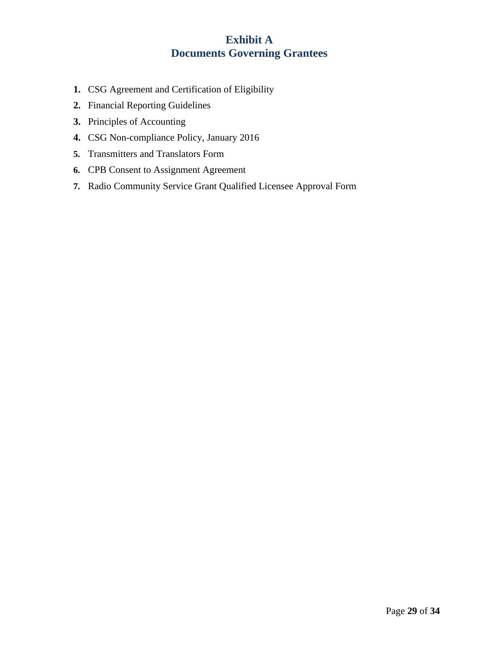## **Exhibit A Documents Governing Grantees**

- <span id="page-28-0"></span>**1.** CSG Agreement and Certification of Eligibility
- **2.** Financial Reporting Guidelines
- **3.** Principles of Accounting
- **4.** CSG Non-compliance Policy, January 2016
- **5.** Transmitters and Translators Form
- **6.** CPB Consent to Assignment Agreement
- **7.** Radio Community Service Grant Qualified Licensee Approval Form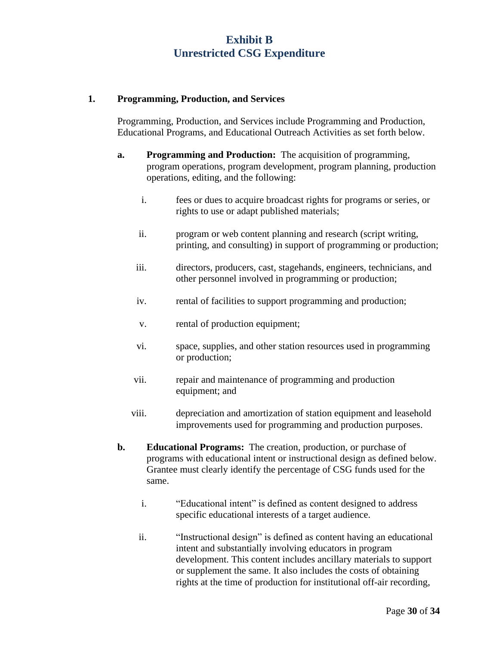## **Exhibit B Unrestricted CSG Expenditure**

#### <span id="page-29-0"></span>**1. Programming, Production, and Services**

Programming, Production, and Services include Programming and Production, Educational Programs, and Educational Outreach Activities as set forth below.

- **a. Programming and Production:** The acquisition of programming, program operations, program development, program planning, production operations, editing, and the following:
	- i. fees or dues to acquire broadcast rights for programs or series, or rights to use or adapt published materials;
	- ii. program or web content planning and research (script writing, printing, and consulting) in support of programming or production;
	- iii. directors, producers, cast, stagehands, engineers, technicians, and other personnel involved in programming or production;
	- iv. rental of facilities to support programming and production;
	- v. rental of production equipment;
	- vi. space, supplies, and other station resources used in programming or production;
	- vii. repair and maintenance of programming and production equipment; and
	- viii. depreciation and amortization of station equipment and leasehold improvements used for programming and production purposes.
- **b. Educational Programs:** The creation, production, or purchase of programs with educational intent or instructional design as defined below. Grantee must clearly identify the percentage of CSG funds used for the same.
	- i. "Educational intent" is defined as content designed to address specific educational interests of a target audience.
	- ii. "Instructional design" is defined as content having an educational intent and substantially involving educators in program development. This content includes ancillary materials to support or supplement the same. It also includes the costs of obtaining rights at the time of production for institutional off-air recording,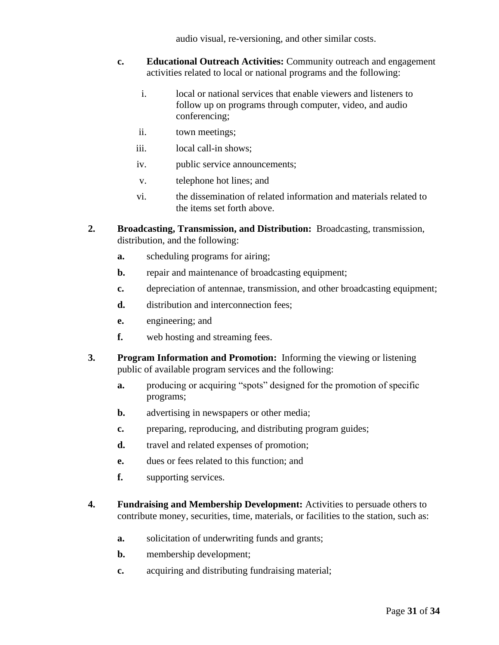audio visual, re-versioning, and other similar costs.

- **c. Educational Outreach Activities:** Community outreach and engagement activities related to local or national programs and the following:
	- i. local or national services that enable viewers and listeners to follow up on programs through computer, video, and audio conferencing;
	- ii. town meetings;
	- iii. local call-in shows;
	- iv. public service announcements;
	- v. telephone hot lines; and
	- vi. the dissemination of related information and materials related to the items set forth above.
- **2. Broadcasting, Transmission, and Distribution:** Broadcasting, transmission, distribution, and the following:
	- **a.** scheduling programs for airing;
	- **b.** repair and maintenance of broadcasting equipment;
	- **c.** depreciation of antennae, transmission, and other broadcasting equipment;
	- d. distribution and interconnection fees;
	- **e.** engineering; and
	- **f.** web hosting and streaming fees.
- **3. Program Information and Promotion:** Informing the viewing or listening public of available program services and the following:
	- **a.** producing or acquiring "spots" designed for the promotion of specific programs;
	- **b.** advertising in newspapers or other media;
	- **c.** preparing, reproducing, and distributing program guides;
	- **d.** travel and related expenses of promotion;
	- **e.** dues or fees related to this function; and
	- **f.** supporting services.
- **4. Fundraising and Membership Development:** Activities to persuade others to contribute money, securities, time, materials, or facilities to the station, such as:
	- **a.** solicitation of underwriting funds and grants;
	- **b.** membership development;
	- **c.** acquiring and distributing fundraising material;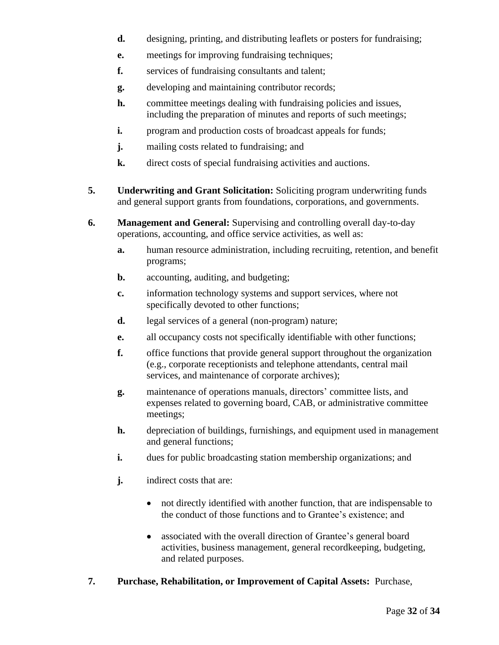- **d.** designing, printing, and distributing leaflets or posters for fundraising;
- **e.** meetings for improving fundraising techniques;
- **f.** services of fundraising consultants and talent;
- **g.** developing and maintaining contributor records;
- **h.** committee meetings dealing with fundraising policies and issues, including the preparation of minutes and reports of such meetings;
- **i.** program and production costs of broadcast appeals for funds;
- **j.** mailing costs related to fundraising; and
- **k.** direct costs of special fundraising activities and auctions.
- **5. Underwriting and Grant Solicitation:** Soliciting program underwriting funds and general support grants from foundations, corporations, and governments.
- **6. Management and General:** Supervising and controlling overall day-to-day operations, accounting, and office service activities, as well as:
	- **a.** human resource administration, including recruiting, retention, and benefit programs;
	- **b.** accounting, auditing, and budgeting;
	- **c.** information technology systems and support services, where not specifically devoted to other functions;
	- **d.** legal services of a general (non-program) nature;
	- **e.** all occupancy costs not specifically identifiable with other functions;
	- **f.** office functions that provide general support throughout the organization (e.g., corporate receptionists and telephone attendants, central mail services, and maintenance of corporate archives);
	- **g.** maintenance of operations manuals, directors' committee lists, and expenses related to governing board, CAB, or administrative committee meetings;
	- **h.** depreciation of buildings, furnishings, and equipment used in management and general functions;
	- **i.** dues for public broadcasting station membership organizations; and
	- **j.** indirect costs that are:
		- not directly identified with another function, that are indispensable to the conduct of those functions and to Grantee's existence; and
		- associated with the overall direction of Grantee's general board activities, business management, general recordkeeping, budgeting, and related purposes.
- **7. Purchase, Rehabilitation, or Improvement of Capital Assets:** Purchase,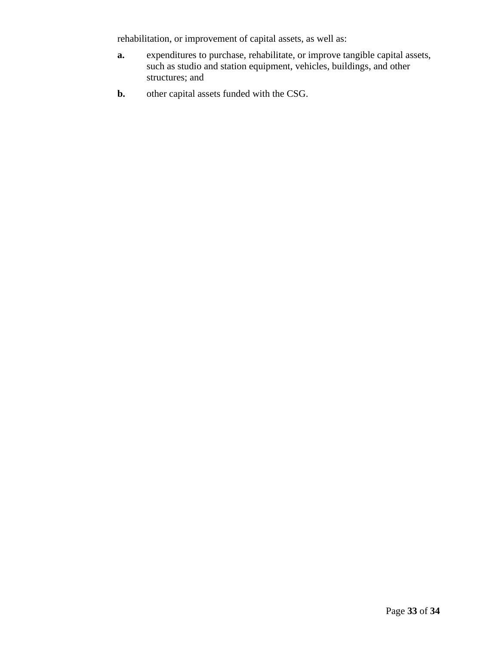rehabilitation, or improvement of capital assets, as well as:

- **a.** expenditures to purchase, rehabilitate, or improve tangible capital assets, such as studio and station equipment, vehicles, buildings, and other structures; and
- **b.** other capital assets funded with the CSG.